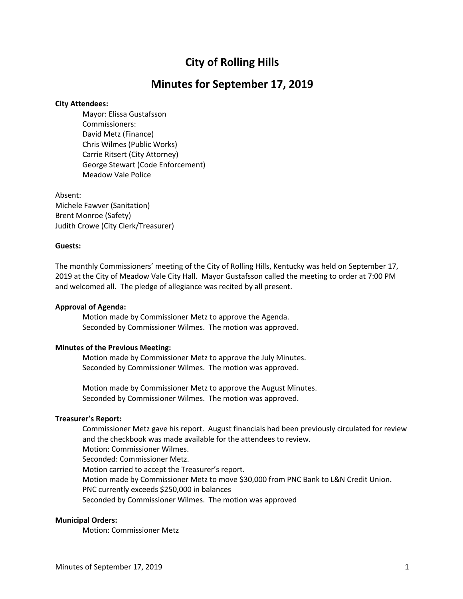# **City of Rolling Hills**

## **Minutes for September 17, 2019**

## **City Attendees:**

Mayor: Elissa Gustafsson Commissioners: David Metz (Finance) Chris Wilmes (Public Works) Carrie Ritsert (City Attorney) George Stewart (Code Enforcement) Meadow Vale Police

Absent: Michele Fawver (Sanitation) Brent Monroe (Safety) Judith Crowe (City Clerk/Treasurer)

## **Guests:**

The monthly Commissioners' meeting of the City of Rolling Hills, Kentucky was held on September 17, 2019 at the City of Meadow Vale City Hall. Mayor Gustafsson called the meeting to order at 7:00 PM and welcomed all. The pledge of allegiance was recited by all present.

## **Approval of Agenda:**

Motion made by Commissioner Metz to approve the Agenda. Seconded by Commissioner Wilmes. The motion was approved.

## **Minutes of the Previous Meeting:**

Motion made by Commissioner Metz to approve the July Minutes. Seconded by Commissioner Wilmes. The motion was approved.

Motion made by Commissioner Metz to approve the August Minutes. Seconded by Commissioner Wilmes. The motion was approved.

## **Treasurer's Report:**

Commissioner Metz gave his report. August financials had been previously circulated for review and the checkbook was made available for the attendees to review. Motion: Commissioner Wilmes. Seconded: Commissioner Metz. Motion carried to accept the Treasurer's report. Motion made by Commissioner Metz to move \$30,000 from PNC Bank to L&N Credit Union. PNC currently exceeds \$250,000 in balances Seconded by Commissioner Wilmes. The motion was approved

## **Municipal Orders:**

Motion: Commissioner Metz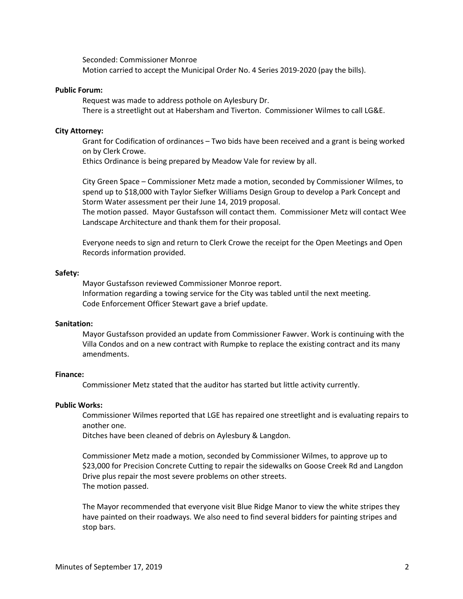Seconded: Commissioner Monroe Motion carried to accept the Municipal Order No. 4 Series 2019-2020 (pay the bills).

#### **Public Forum:**

Request was made to address pothole on Aylesbury Dr. There is a streetlight out at Habersham and Tiverton. Commissioner Wilmes to call LG&E.

#### **City Attorney:**

Grant for Codification of ordinances – Two bids have been received and a grant is being worked on by Clerk Crowe.

Ethics Ordinance is being prepared by Meadow Vale for review by all.

City Green Space – Commissioner Metz made a motion, seconded by Commissioner Wilmes, to spend up to \$18,000 with Taylor Siefker Williams Design Group to develop a Park Concept and Storm Water assessment per their June 14, 2019 proposal.

The motion passed. Mayor Gustafsson will contact them. Commissioner Metz will contact Wee Landscape Architecture and thank them for their proposal.

Everyone needs to sign and return to Clerk Crowe the receipt for the Open Meetings and Open Records information provided.

#### **Safety:**

Mayor Gustafsson reviewed Commissioner Monroe report. Information regarding a towing service for the City was tabled until the next meeting. Code Enforcement Officer Stewart gave a brief update.

## **Sanitation:**

Mayor Gustafsson provided an update from Commissioner Fawver. Work is continuing with the Villa Condos and on a new contract with Rumpke to replace the existing contract and its many amendments.

#### **Finance:**

Commissioner Metz stated that the auditor has started but little activity currently.

#### **Public Works:**

Commissioner Wilmes reported that LGE has repaired one streetlight and is evaluating repairs to another one.

Ditches have been cleaned of debris on Aylesbury & Langdon.

Commissioner Metz made a motion, seconded by Commissioner Wilmes, to approve up to \$23,000 for Precision Concrete Cutting to repair the sidewalks on Goose Creek Rd and Langdon Drive plus repair the most severe problems on other streets. The motion passed.

The Mayor recommended that everyone visit Blue Ridge Manor to view the white stripes they have painted on their roadways. We also need to find several bidders for painting stripes and stop bars.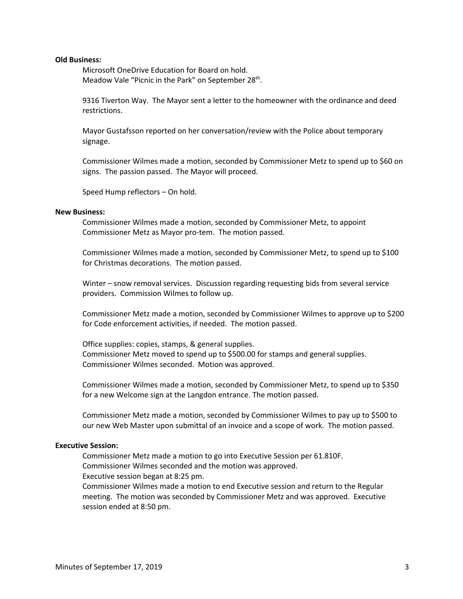#### **Old Business:**

Microsoft OneDrive Education for Board on hold. Meadow Vale "Picnic in the Park" on September 28<sup>th</sup>.

9316 Tiverton Way. The Mayor sent a letter to the homeowner with the ordinance and deed restrictions.

Mayor Gustafsson reported on her conversation/review with the Police about temporary signage.

Commissioner Wilmes made a motion, seconded by Commissioner Metz to spend up to \$60 on signs. The passion passed. The Mayor will proceed.

Speed Hump reflectors – On hold.

## **New Business:**

Commissioner Wilmes made a motion, seconded by Commissioner Metz, to appoint Commissioner Metz as Mayor pro-tem. The motion passed.

Commissioner Wilmes made a motion, seconded by Commissioner Metz, to spend up to \$100 for Christmas decorations. The motion passed.

Winter – snow removal services. Discussion regarding requesting bids from several service providers. Commission Wilmes to follow up.

Commissioner Metz made a motion, seconded by Commissioner Wilmes to approve up to \$200 for Code enforcement activities, if needed. The motion passed.

Office supplies: copies, stamps, & general supplies. Commissioner Metz moved to spend up to \$500.00 for stamps and general supplies. Commissioner Wilmes seconded. Motion was approved.

Commissioner Wilmes made a motion, seconded by Commissioner Metz, to spend up to \$350 for a new Welcome sign at the Langdon entrance. The motion passed.

Commissioner Metz made a motion, seconded by Commissioner Wilmes to pay up to \$500 to our new Web Master upon submittal of an invoice and a scope of work. The motion passed.

## **Executive Session:**

Commissioner Metz made a motion to go into Executive Session per 61.810F.

Commissioner Wilmes seconded and the motion was approved.

Executive session began at 8:25 pm.

Commissioner Wilmes made a motion to end Executive session and return to the Regular meeting. The motion was seconded by Commissioner Metz and was approved. Executive session ended at 8:50 pm.